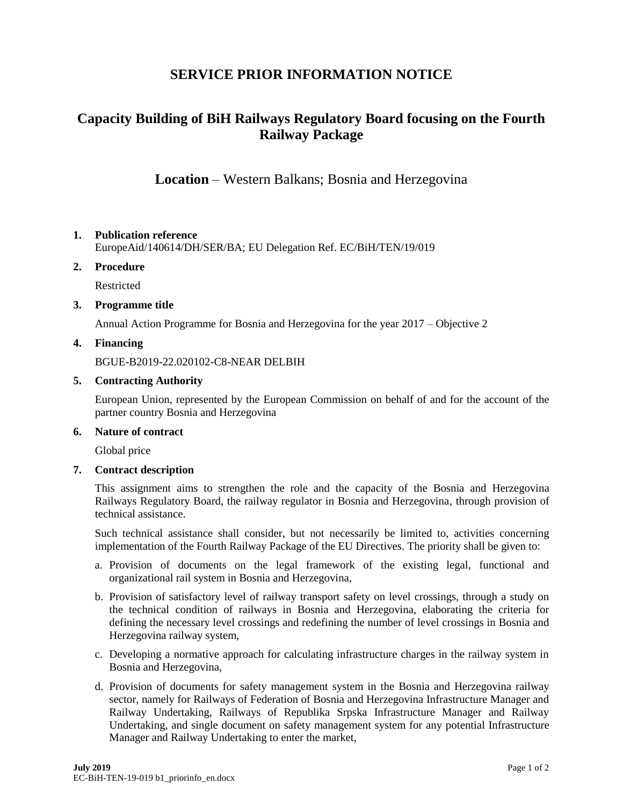# **SERVICE PRIOR INFORMATION NOTICE**

# **Capacity Building of BiH Railways Regulatory Board focusing on the Fourth Railway Package**

**Location** – Western Balkans; Bosnia and Herzegovina

## **1. Publication reference**

EuropeAid/140614/DH/SER/BA; EU Delegation Ref. EC/BiH/TEN/19/019

#### **2. Procedure**

Restricted

#### **3. Programme title**

Annual Action Programme for Bosnia and Herzegovina for the year 2017 – Objective 2

## **4. Financing**

BGUE-B2019-22.020102-C8-NEAR DELBIH

#### **5. Contracting Authority**

European Union, represented by the European Commission on behalf of and for the account of the partner country Bosnia and Herzegovina

#### **6. Nature of contract**

Global price

#### **7. Contract description**

This assignment aims to strengthen the role and the capacity of the Bosnia and Herzegovina Railways Regulatory Board, the railway regulator in Bosnia and Herzegovina, through provision of technical assistance.

Such technical assistance shall consider, but not necessarily be limited to, activities concerning implementation of the Fourth Railway Package of the EU Directives. The priority shall be given to:

- a. Provision of documents on the legal framework of the existing legal, functional and organizational rail system in Bosnia and Herzegovina,
- b. Provision of satisfactory level of railway transport safety on level crossings, through a study on the technical condition of railways in Bosnia and Herzegovina, elaborating the criteria for defining the necessary level crossings and redefining the number of level crossings in Bosnia and Herzegovina railway system,
- c. Developing a normative approach for calculating infrastructure charges in the railway system in Bosnia and Herzegovina,
- d. Provision of documents for safety management system in the Bosnia and Herzegovina railway sector, namely for Railways of Federation of Bosnia and Herzegovina Infrastructure Manager and Railway Undertaking, Railways of Republika Srpska Infrastructure Manager and Railway Undertaking, and single document on safety management system for any potential Infrastructure Manager and Railway Undertaking to enter the market,